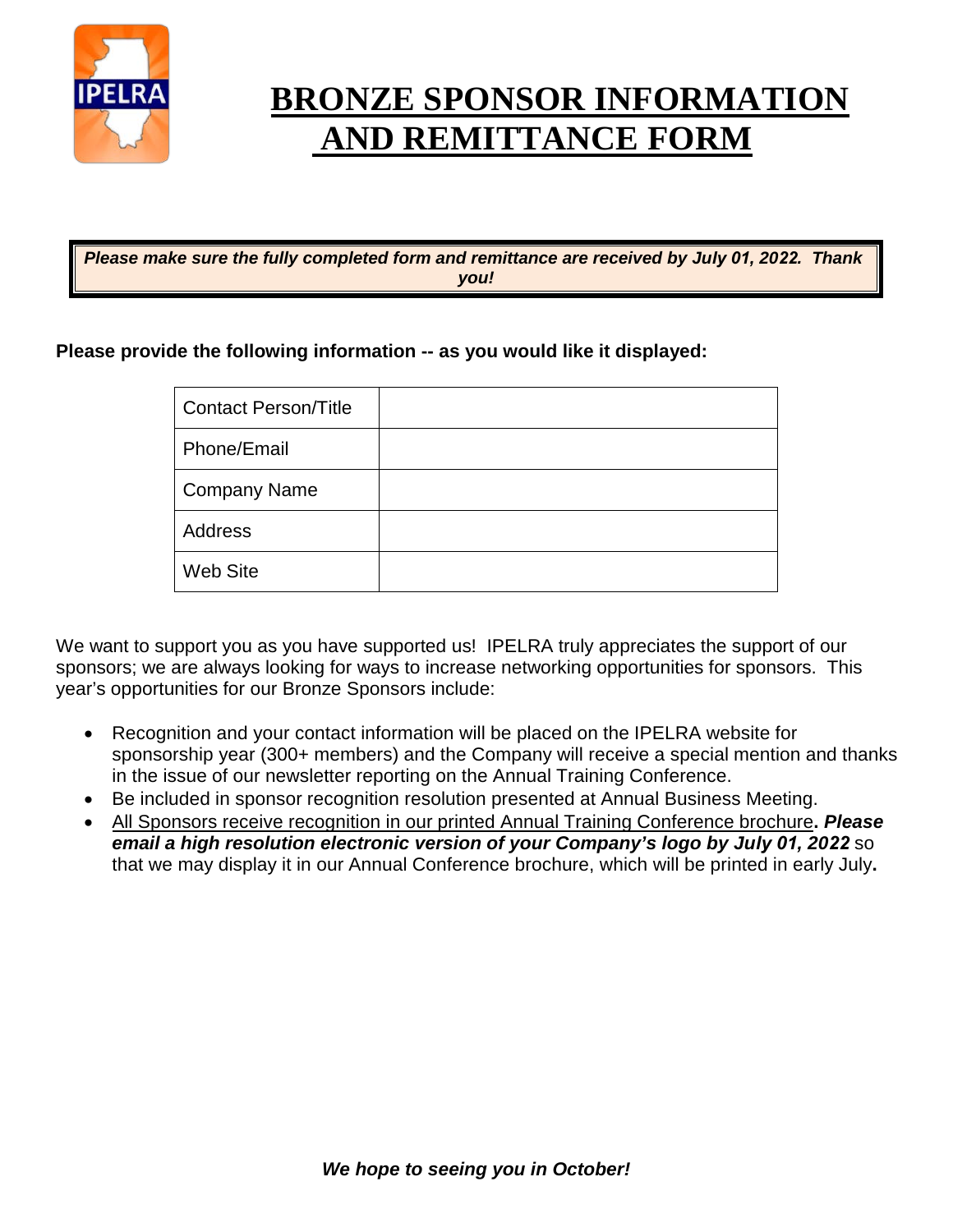

# **BRONZE SPONSOR INFORMATION AND REMITTANCE FORM**

*Please make sure the fully completed form and remittance are received by July 01, 2022. Thank you!*

#### **Please provide the following information -- as you would like it displayed:**

| <b>Contact Person/Title</b> |  |
|-----------------------------|--|
| Phone/Email                 |  |
| <b>Company Name</b>         |  |
| Address                     |  |
| Web Site                    |  |

We want to support you as you have supported us! IPELRA truly appreciates the support of our sponsors; we are always looking for ways to increase networking opportunities for sponsors. This year's opportunities for our Bronze Sponsors include:

- Recognition and your contact information will be placed on the IPELRA website for sponsorship year (300+ members) and the Company will receive a special mention and thanks in the issue of our newsletter reporting on the Annual Training Conference.
- Be included in sponsor recognition resolution presented at Annual Business Meeting.
- All Sponsors receive recognition in our printed Annual Training Conference brochure**.** *Please email a high resolution electronic version of your Company's logo by July 01, 2022* so that we may display it in our Annual Conference brochure, which will be printed in early July**.**